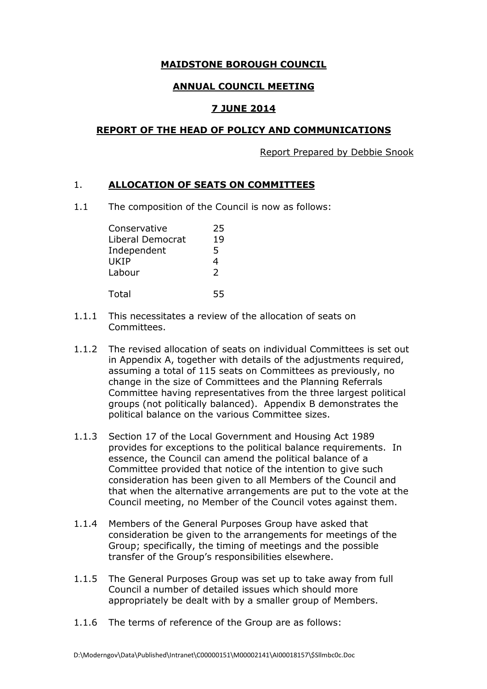## **MAIDSTONE BOROUGH COUNCIL**

# **ANNUAL COUNCIL MEETING**

# **7 JUNE 2014**

#### **REPORT OF THE HEAD OF POLICY AND COMMUNICATIONS**

Report Prepared by Debbie Snook

## 1. **ALLOCATION OF SEATS ON COMMITTEES**

1.1 The composition of the Council is now as follows:

| Conservative     | 25            |
|------------------|---------------|
| Liberal Democrat | 19            |
| Independent      | 5             |
| UKIP             | 4             |
| Labour           | $\mathcal{P}$ |
|                  |               |
| Total            |               |

- 1.1.1 This necessitates a review of the allocation of seats on Committees.
- 1.1.2 The revised allocation of seats on individual Committees is set out in Appendix A, together with details of the adjustments required, assuming a total of 115 seats on Committees as previously, no change in the size of Committees and the Planning Referrals Committee having representatives from the three largest political groups (not politically balanced). Appendix B demonstrates the political balance on the various Committee sizes.
- 1.1.3 Section 17 of the Local Government and Housing Act 1989 provides for exceptions to the political balance requirements. In essence, the Council can amend the political balance of a Committee provided that notice of the intention to give such consideration has been given to all Members of the Council and that when the alternative arrangements are put to the vote at the Council meeting, no Member of the Council votes against them.
- 1.1.4 Members of the General Purposes Group have asked that consideration be given to the arrangements for meetings of the Group; specifically, the timing of meetings and the possible transfer of the Group's responsibilities elsewhere.
- 1.1.5 The General Purposes Group was set up to take away from full Council a number of detailed issues which should more appropriately be dealt with by a smaller group of Members.
- 1.1.6 The terms of reference of the Group are as follows: